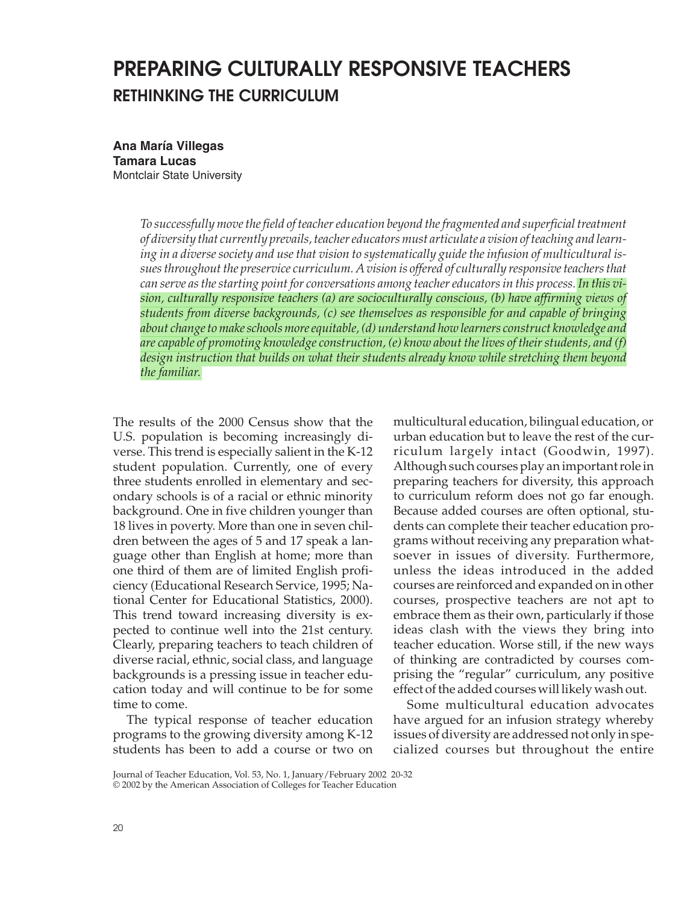# PREPARING CULTURALLY RESPONSIVE TEACHERS RETHINKING THE CURRICULUM

**Ana María Villegas Tamara Lucas** Montclair State University

> *To successfully move the field of teacher education beyond the fragmented and superficial treatment of diversity that currently prevails, teacher educators must articulate a vision of teaching and learning in a diverse society and use that vision to systematically guide the infusion of multicultural issues throughout the preservice curriculum. A vision is offered of culturally responsive teachers that can serve as the starting point for conversations among teacher educators in this process. In this vision, culturally responsive teachers (a) are socioculturally conscious, (b) have affirming views of students from diverse backgrounds, (c) see themselves as responsible for and capable of bringing about change to make schools more equitable, (d) understand how learners construct knowledge and are capable of promoting knowledge construction, (e) know about the lives of their students, and (f) design instruction that builds on what their students already know while stretching them beyond the familiar.*

The results of the 2000 Census show that the U.S. population is becoming increasingly diverse. This trend is especially salient in the K-12 student population. Currently, one of every three students enrolled in elementary and secondary schools is of a racial or ethnic minority background. One in five children younger than 18 lives in poverty. More than one in seven children between the ages of 5 and 17 speak a language other than English at home; more than one third of them are of limited English proficiency (Educational Research Service, 1995; National Center for Educational Statistics, 2000). This trend toward increasing diversity is expected to continue well into the 21st century. Clearly, preparing teachers to teach children of diverse racial, ethnic, social class, and language backgrounds is a pressing issue in teacher education today and will continue to be for some time to come.

The typical response of teacher education programs to the growing diversity among K-12 students has been to add a course or two on

multicultural education, bilingual education, or urban education but to leave the rest of the curriculum largely intact (Goodwin, 1997). Although such courses play an important role in preparing teachers for diversity, this approach to curriculum reform does not go far enough. Because added courses are often optional, students can complete their teacher education programs without receiving any preparation whatsoever in issues of diversity. Furthermore, unless the ideas introduced in the added courses are reinforced and expanded on in other courses, prospective teachers are not apt to embrace them as their own, particularly if those ideas clash with the views they bring into teacher education. Worse still, if the new ways of thinking are contradicted by courses comprising the "regular" curriculum, any positive effect of the added courses will likely wash out.

Some multicultural education advocates have argued for an infusion strategy whereby issues of diversity are addressed not only in specialized courses but throughout the entire

Journal of Teacher Education, Vol. 53, No. 1, January/February 2002 20-32 © 2002 by the American Association of Colleges for Teacher Education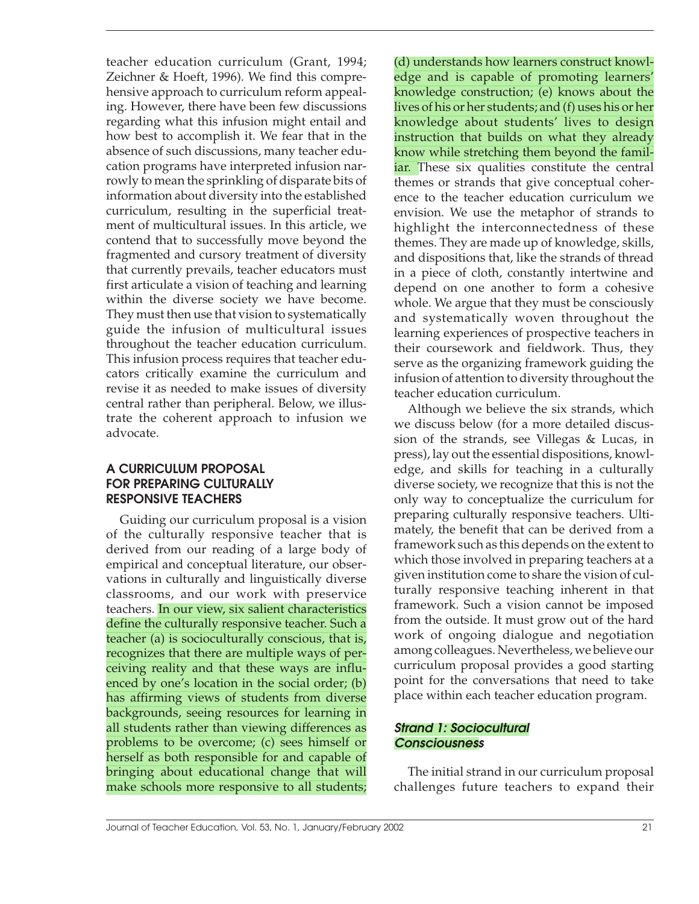teacher education curriculum (Grant, 1994; Zeichner & Hoeft, 1996). We find this comprehensive approach to curriculum reform appealing. However, there have been few discussions regarding what this infusion might entail and how best to accomplish it. We fear that in the absence of such discussions, many teacher education programs have interpreted infusion narrowly to mean the sprinkling of disparate bits of information about diversity into the established curriculum, resulting in the superficial treatment of multicultural issues. In this article, we contend that to successfully move beyond the fragmented and cursory treatment of diversity that currently prevails, teacher educators must first articulate a vision of teaching and learning within the diverse society we have become. They must then use that vision to systematically guide the infusion of multicultural issues throughout the teacher education curriculum. This infusion process requires that teacher educators critically examine the curriculum and revise it as needed to make issues of diversity central rather than peripheral. Below, we illustrate the coherent approach to infusion we advocate.

# A CURRICULUM PROPOSAL FOR PREPARING CULTURALLY RESPONSIVE TEACHERS

Guiding our curriculum proposal is a vision of the culturally responsive teacher that is derived from our reading of a large body of empirical and conceptual literature, our observations in culturally and linguistically diverse classrooms, and our work with preservice teachers. In our view, six salient characteristics define the culturally responsive teacher. Such a teacher (a) is socioculturally conscious, that is, recognizes that there are multiple ways of perceiving reality and that these ways are influenced by one's location in the social order; (b) has affirming views of students from diverse backgrounds, seeing resources for learning in all students rather than viewing differences as problems to be overcome; (c) sees himself or herself as both responsible for and capable of bringing about educational change that will make schools more responsive to all students;

(d) understands how learners construct knowledge and is capable of promoting learners' knowledge construction; (e) knows about the lives of his or her students; and (f) uses his or her knowledge about students' lives to design instruction that builds on what they already know while stretching them beyond the familiar. These six qualities constitute the central themes or strands that give conceptual coherence to the teacher education curriculum we envision. We use the metaphor of strands to highlight the interconnectedness of these themes. They are made up of knowledge, skills, and dispositions that, like the strands of thread in a piece of cloth, constantly intertwine and depend on one another to form a cohesive whole. We argue that they must be consciously and systematically woven throughout the learning experiences of prospective teachers in their coursework and fieldwork. Thus, they serve as the organizing framework guiding the infusion of attention to diversity throughout the teacher education curriculum.

Although we believe the six strands, which we discuss below (for a more detailed discussion of the strands, see Villegas & Lucas, in press), lay out the essential dispositions, knowledge, and skills for teaching in a culturally diverse society, we recognize that this is not the only way to conceptualize the curriculum for preparing culturally responsive teachers. Ultimately, the benefit that can be derived from a framework such as this depends on the extent to which those involved in preparing teachers at a given institution come to share the vision of culturally responsive teaching inherent in that framework. Such a vision cannot be imposed from the outside. It must grow out of the hard work of ongoing dialogue and negotiation among colleagues. Nevertheless, we believe our curriculum proposal provides a good starting point for the conversations that need to take place within each teacher education program.

#### Strand 1: Sociocultural **Consciousness**

The initial strand in our curriculum proposal challenges future teachers to expand their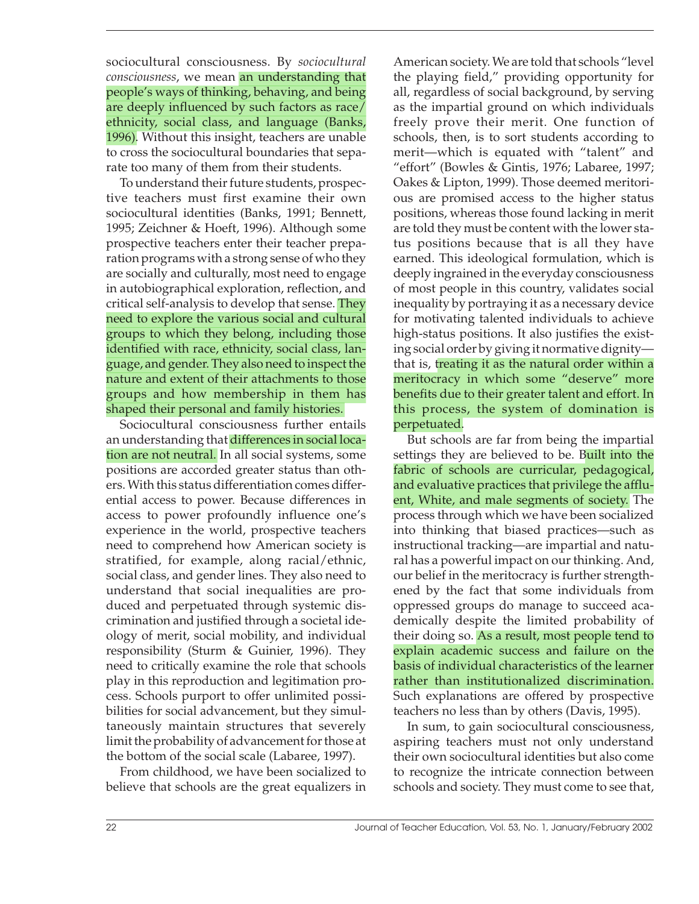sociocultural consciousness. By *sociocultural consciousness*, we mean an understanding that people's ways of thinking, behaving, and being are deeply influenced by such factors as race/ ethnicity, social class, and language (Banks, 1996). Without this insight, teachers are unable to cross the sociocultural boundaries that separate too many of them from their students.

To understand their future students, prospective teachers must first examine their own sociocultural identities (Banks, 1991; Bennett, 1995; Zeichner & Hoeft, 1996). Although some prospective teachers enter their teacher preparation programs with a strong sense of who they are socially and culturally, most need to engage in autobiographical exploration, reflection, and critical self-analysis to develop that sense. They need to explore the various social and cultural groups to which they belong, including those identified with race, ethnicity, social class, language, and gender. They also need to inspect the nature and extent of their attachments to those groups and how membership in them has shaped their personal and family histories.

Sociocultural consciousness further entails an understanding that differences in social location are not neutral. In all social systems, some positions are accorded greater status than others. With this status differentiation comes differential access to power. Because differences in access to power profoundly influence one's experience in the world, prospective teachers need to comprehend how American society is stratified, for example, along racial/ethnic, social class, and gender lines. They also need to understand that social inequalities are produced and perpetuated through systemic discrimination and justified through a societal ideology of merit, social mobility, and individual responsibility (Sturm & Guinier, 1996). They need to critically examine the role that schools play in this reproduction and legitimation process. Schools purport to offer unlimited possibilities for social advancement, but they simultaneously maintain structures that severely limit the probability of advancement for those at the bottom of the social scale (Labaree, 1997).

From childhood, we have been socialized to believe that schools are the great equalizers in

American society. We are told that schools "level the playing field," providing opportunity for all, regardless of social background, by serving as the impartial ground on which individuals freely prove their merit. One function of schools, then, is to sort students according to merit—which is equated with "talent" and "effort" (Bowles & Gintis, 1976; Labaree, 1997; Oakes & Lipton, 1999). Those deemed meritorious are promised access to the higher status positions, whereas those found lacking in merit are told they must be content with the lower status positions because that is all they have earned. This ideological formulation, which is deeply ingrained in the everyday consciousness of most people in this country, validates social inequality by portraying it as a necessary device for motivating talented individuals to achieve high-status positions. It also justifies the existing social order by giving it normative dignity that is, treating it as the natural order within a meritocracy in which some "deserve" more benefits due to their greater talent and effort. In this process, the system of domination is perpetuated.

But schools are far from being the impartial settings they are believed to be. Built into the fabric of schools are curricular, pedagogical, and evaluative practices that privilege the affluent, White, and male segments of society. The process through which we have been socialized into thinking that biased practices—such as instructional tracking—are impartial and natural has a powerful impact on our thinking. And, our belief in the meritocracy is further strengthened by the fact that some individuals from oppressed groups do manage to succeed academically despite the limited probability of their doing so. As a result, most people tend to explain academic success and failure on the basis of individual characteristics of the learner rather than institutionalized discrimination. Such explanations are offered by prospective teachers no less than by others (Davis, 1995).

In sum, to gain sociocultural consciousness, aspiring teachers must not only understand their own sociocultural identities but also come to recognize the intricate connection between schools and society. They must come to see that,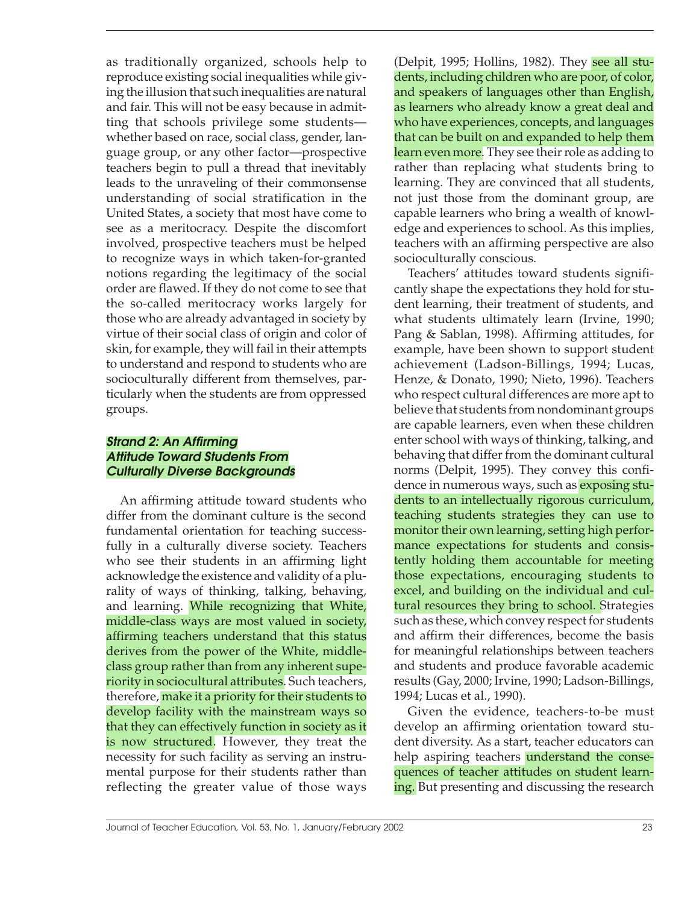as traditionally organized, schools help to reproduce existing social inequalities while giving the illusion that such inequalities are natural and fair. This will not be easy because in admitting that schools privilege some students whether based on race, social class, gender, language group, or any other factor—prospective teachers begin to pull a thread that inevitably leads to the unraveling of their commonsense understanding of social stratification in the United States, a society that most have come to see as a meritocracy. Despite the discomfort involved, prospective teachers must be helped to recognize ways in which taken-for-granted notions regarding the legitimacy of the social order are flawed. If they do not come to see that the so-called meritocracy works largely for those who are already advantaged in society by virtue of their social class of origin and color of skin, for example, they will fail in their attempts to understand and respond to students who are socioculturally different from themselves, particularly when the students are from oppressed groups.

#### Strand 2: An Affirming Attitude Toward Students From Culturally Diverse Backgrounds

An affirming attitude toward students who differ from the dominant culture is the second fundamental orientation for teaching successfully in a culturally diverse society. Teachers who see their students in an affirming light acknowledge the existence and validity of a plurality of ways of thinking, talking, behaving, and learning. While recognizing that White, middle-class ways are most valued in society, affirming teachers understand that this status derives from the power of the White, middleclass group rather than from any inherent superiority in sociocultural attributes. Such teachers, therefore, make it a priority for their students to develop facility with the mainstream ways so that they can effectively function in society as it is now structured. However, they treat the necessity for such facility as serving an instrumental purpose for their students rather than reflecting the greater value of those ways

(Delpit, 1995; Hollins, 1982). They see all students, including children who are poor, of color, and speakers of languages other than English, as learners who already know a great deal and who have experiences, concepts, and languages that can be built on and expanded to help them learn even more. They see their role as adding to rather than replacing what students bring to learning. They are convinced that all students, not just those from the dominant group, are capable learners who bring a wealth of knowledge and experiences to school. As this implies, teachers with an affirming perspective are also socioculturally conscious.

Teachers' attitudes toward students significantly shape the expectations they hold for student learning, their treatment of students, and what students ultimately learn (Irvine, 1990; Pang & Sablan, 1998). Affirming attitudes, for example, have been shown to support student achievement (Ladson-Billings, 1994; Lucas, Henze, & Donato, 1990; Nieto, 1996). Teachers who respect cultural differences are more apt to believe that students from nondominant groups are capable learners, even when these children enter school with ways of thinking, talking, and behaving that differ from the dominant cultural norms (Delpit, 1995). They convey this confidence in numerous ways, such as exposing students to an intellectually rigorous curriculum, teaching students strategies they can use to monitor their own learning, setting high performance expectations for students and consistently holding them accountable for meeting those expectations, encouraging students to excel, and building on the individual and cultural resources they bring to school. Strategies such as these, which convey respect for students and affirm their differences, become the basis for meaningful relationships between teachers and students and produce favorable academic results (Gay, 2000; Irvine, 1990; Ladson-Billings, 1994; Lucas et al., 1990).

Given the evidence, teachers-to-be must develop an affirming orientation toward student diversity. As a start, teacher educators can help aspiring teachers understand the consequences of teacher attitudes on student learning. But presenting and discussing the research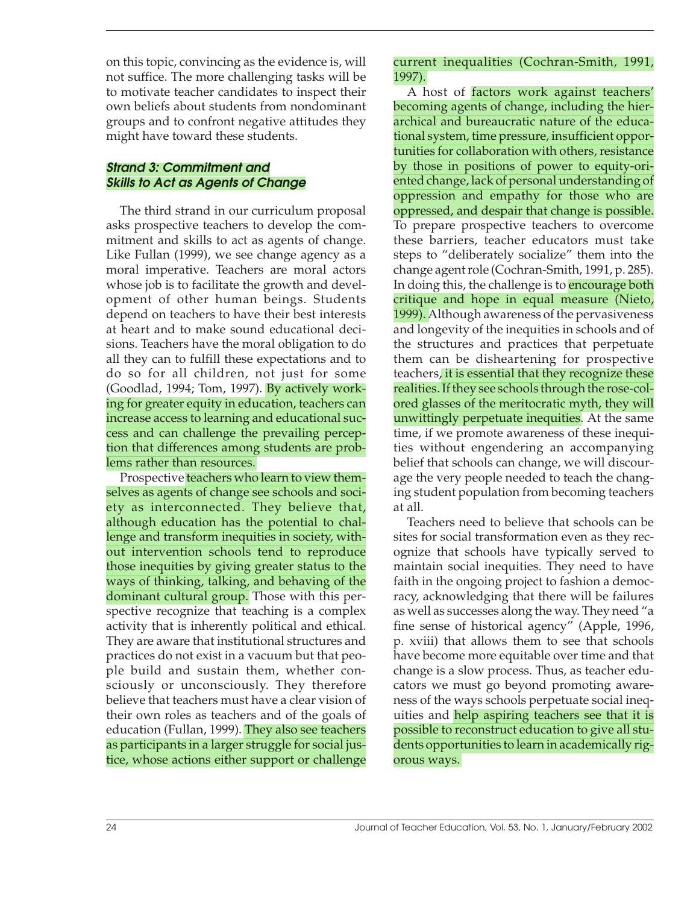on this topic, convincing as the evidence is, will not suffice. The more challenging tasks will be to motivate teacher candidates to inspect their own beliefs about students from nondominant groups and to confront negative attitudes they might have toward these students.

#### Strand 3: Commitment and Skills to Act as Agents of Change

The third strand in our curriculum proposal asks prospective teachers to develop the commitment and skills to act as agents of change. Like Fullan (1999), we see change agency as a moral imperative. Teachers are moral actors whose job is to facilitate the growth and development of other human beings. Students depend on teachers to have their best interests at heart and to make sound educational decisions. Teachers have the moral obligation to do all they can to fulfill these expectations and to do so for all children, not just for some (Goodlad, 1994; Tom, 1997). By actively working for greater equity in education, teachers can increase access to learning and educational success and can challenge the prevailing perception that differences among students are problems rather than resources.

Prospective teachers who learn to view themselves as agents of change see schools and society as interconnected. They believe that, although education has the potential to challenge and transform inequities in society, without intervention schools tend to reproduce those inequities by giving greater status to the ways of thinking, talking, and behaving of the dominant cultural group. Those with this perspective recognize that teaching is a complex activity that is inherently political and ethical. They are aware that institutional structures and practices do not exist in a vacuum but that people build and sustain them, whether consciously or unconsciously. They therefore believe that teachers must have a clear vision of their own roles as teachers and of the goals of education (Fullan, 1999). They also see teachers as participants in a larger struggle for social justice, whose actions either support or challenge

current inequalities (Cochran-Smith, 1991, 1997).

A host of factors work against teachers' becoming agents of change, including the hierarchical and bureaucratic nature of the educational system, time pressure, insufficient opportunities for collaboration with others, resistance by those in positions of power to equity-oriented change, lack of personal understanding of oppression and empathy for those who are oppressed, and despair that change is possible. To prepare prospective teachers to overcome these barriers, teacher educators must take steps to "deliberately socialize" them into the change agent role (Cochran-Smith, 1991, p. 285). In doing this, the challenge is to encourage both critique and hope in equal measure (Nieto, 1999). Although awareness of the pervasiveness and longevity of the inequities in schools and of the structures and practices that perpetuate them can be disheartening for prospective teachers, it is essential that they recognize these realities. If they see schools through the rose-colored glasses of the meritocratic myth, they will unwittingly perpetuate inequities. At the same time, if we promote awareness of these inequities without engendering an accompanying belief that schools can change, we will discourage the very people needed to teach the changing student population from becoming teachers at all.

Teachers need to believe that schools can be sites for social transformation even as they recognize that schools have typically served to maintain social inequities. They need to have faith in the ongoing project to fashion a democracy, acknowledging that there will be failures as well as successes along the way. They need "a fine sense of historical agency" (Apple, 1996, p. xviii) that allows them to see that schools have become more equitable over time and that change is a slow process. Thus, as teacher educators we must go beyond promoting awareness of the ways schools perpetuate social inequities and help aspiring teachers see that it is possible to reconstruct education to give all students opportunities to learn in academically rigorous ways.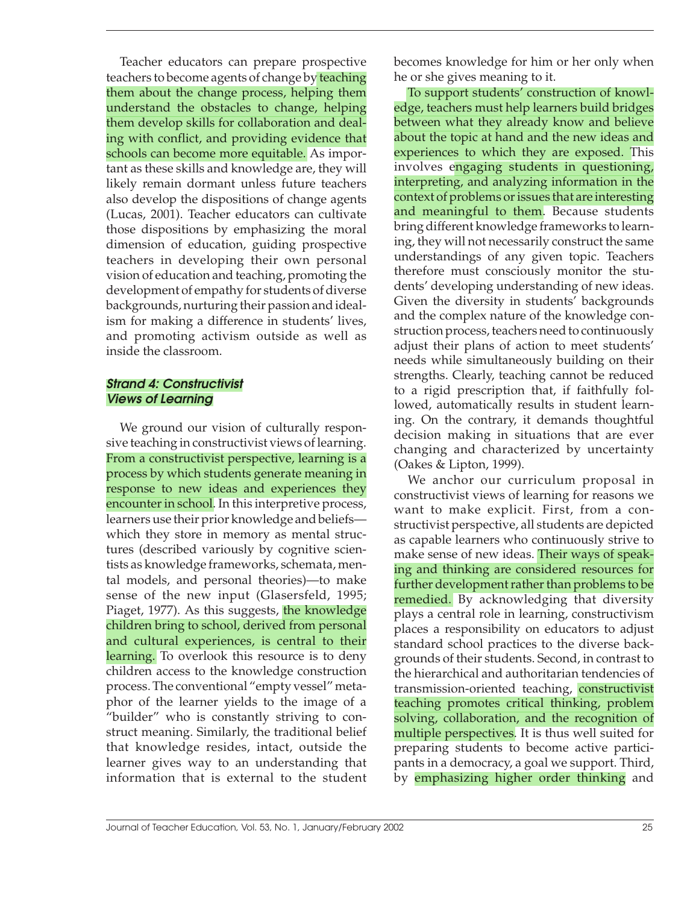Teacher educators can prepare prospective teachers to become agents of change by teaching them about the change process, helping them understand the obstacles to change, helping them develop skills for collaboration and dealing with conflict, and providing evidence that schools can become more equitable. As important as these skills and knowledge are, they will likely remain dormant unless future teachers also develop the dispositions of change agents (Lucas, 2001). Teacher educators can cultivate those dispositions by emphasizing the moral dimension of education, guiding prospective teachers in developing their own personal vision of education and teaching, promoting the development of empathy for students of diverse backgrounds, nurturing their passion and idealism for making a difference in students' lives, and promoting activism outside as well as inside the classroom.

#### Strand 4: Constructivist Views of Learning

We ground our vision of culturally responsive teaching in constructivist views of learning. From a constructivist perspective, learning is a process by which students generate meaning in response to new ideas and experiences they encounter in school. In this interpretive process, learners use their prior knowledge and beliefs which they store in memory as mental structures (described variously by cognitive scientists as knowledge frameworks, schemata, mental models, and personal theories)—to make sense of the new input (Glasersfeld, 1995; Piaget, 1977). As this suggests, the knowledge children bring to school, derived from personal and cultural experiences, is central to their learning. To overlook this resource is to deny children access to the knowledge construction process. The conventional "empty vessel" metaphor of the learner yields to the image of a "builder" who is constantly striving to construct meaning. Similarly, the traditional belief that knowledge resides, intact, outside the learner gives way to an understanding that information that is external to the student

becomes knowledge for him or her only when he or she gives meaning to it.

To support students' construction of knowledge, teachers must help learners build bridges between what they already know and believe about the topic at hand and the new ideas and experiences to which they are exposed. This involves engaging students in questioning, interpreting, and analyzing information in the context of problems or issues that are interesting and meaningful to them. Because students bring different knowledge frameworks to learning, they will not necessarily construct the same understandings of any given topic. Teachers therefore must consciously monitor the students' developing understanding of new ideas. Given the diversity in students' backgrounds and the complex nature of the knowledge construction process, teachers need to continuously adjust their plans of action to meet students' needs while simultaneously building on their strengths. Clearly, teaching cannot be reduced to a rigid prescription that, if faithfully followed, automatically results in student learning. On the contrary, it demands thoughtful decision making in situations that are ever changing and characterized by uncertainty (Oakes & Lipton, 1999).

We anchor our curriculum proposal in constructivist views of learning for reasons we want to make explicit. First, from a constructivist perspective, all students are depicted as capable learners who continuously strive to make sense of new ideas. Their ways of speaking and thinking are considered resources for further development rather than problems to be remedied. By acknowledging that diversity plays a central role in learning, constructivism places a responsibility on educators to adjust standard school practices to the diverse backgrounds of their students. Second, in contrast to the hierarchical and authoritarian tendencies of transmission-oriented teaching, constructivist teaching promotes critical thinking, problem solving, collaboration, and the recognition of multiple perspectives. It is thus well suited for preparing students to become active participants in a democracy, a goal we support. Third, by emphasizing higher order thinking and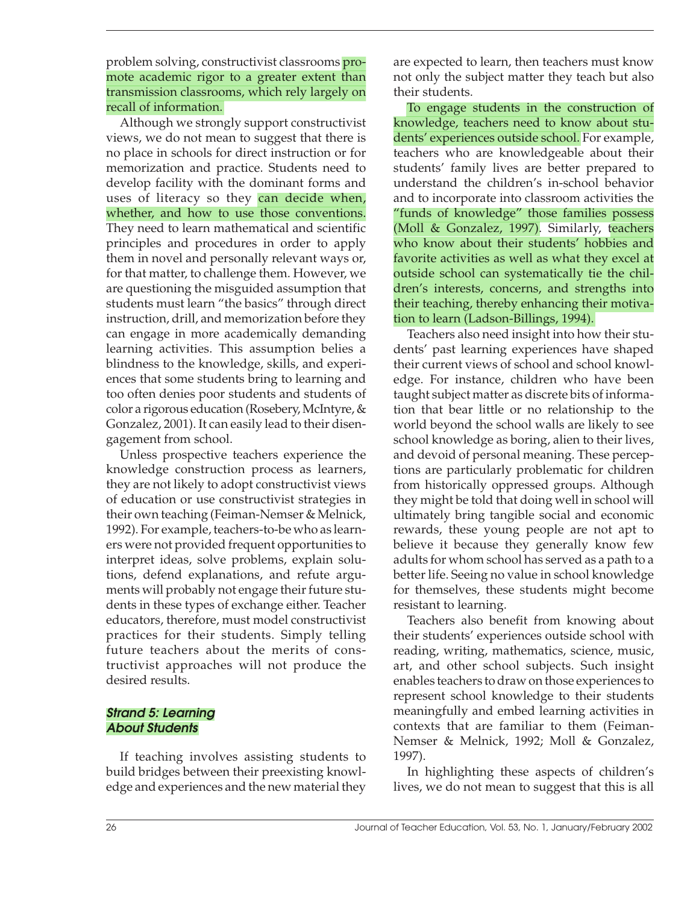problem solving, constructivist classrooms promote academic rigor to a greater extent than transmission classrooms, which rely largely on recall of information.

Although we strongly support constructivist views, we do not mean to suggest that there is no place in schools for direct instruction or for memorization and practice. Students need to develop facility with the dominant forms and uses of literacy so they can decide when, whether, and how to use those conventions. They need to learn mathematical and scientific principles and procedures in order to apply them in novel and personally relevant ways or, for that matter, to challenge them. However, we are questioning the misguided assumption that students must learn "the basics" through direct instruction, drill, and memorization before they can engage in more academically demanding learning activities. This assumption belies a blindness to the knowledge, skills, and experiences that some students bring to learning and too often denies poor students and students of color a rigorous education (Rosebery, McIntyre, & Gonzalez, 2001). It can easily lead to their disengagement from school.

Unless prospective teachers experience the knowledge construction process as learners, they are not likely to adopt constructivist views of education or use constructivist strategies in their own teaching (Feiman-Nemser & Melnick, 1992). For example, teachers-to-be who as learners were not provided frequent opportunities to interpret ideas, solve problems, explain solutions, defend explanations, and refute arguments will probably not engage their future students in these types of exchange either. Teacher educators, therefore, must model constructivist practices for their students. Simply telling future teachers about the merits of constructivist approaches will not produce the desired results.

# Strand 5: Learning About Students

If teaching involves assisting students to build bridges between their preexisting knowledge and experiences and the new material they

are expected to learn, then teachers must know not only the subject matter they teach but also their students.

To engage students in the construction of knowledge, teachers need to know about students' experiences outside school. For example, teachers who are knowledgeable about their students' family lives are better prepared to understand the children's in-school behavior and to incorporate into classroom activities the "funds of knowledge" those families possess (Moll & Gonzalez, 1997). Similarly, teachers who know about their students' hobbies and favorite activities as well as what they excel at outside school can systematically tie the children's interests, concerns, and strengths into their teaching, thereby enhancing their motivation to learn (Ladson-Billings, 1994).

Teachers also need insight into how their students' past learning experiences have shaped their current views of school and school knowledge. For instance, children who have been taught subject matter as discrete bits of information that bear little or no relationship to the world beyond the school walls are likely to see school knowledge as boring, alien to their lives, and devoid of personal meaning. These perceptions are particularly problematic for children from historically oppressed groups. Although they might be told that doing well in school will ultimately bring tangible social and economic rewards, these young people are not apt to believe it because they generally know few adults for whom school has served as a path to a better life. Seeing no value in school knowledge for themselves, these students might become resistant to learning.

Teachers also benefit from knowing about their students' experiences outside school with reading, writing, mathematics, science, music, art, and other school subjects. Such insight enables teachers to draw on those experiences to represent school knowledge to their students meaningfully and embed learning activities in contexts that are familiar to them (Feiman-Nemser & Melnick, 1992; Moll & Gonzalez, 1997).

In highlighting these aspects of children's lives, we do not mean to suggest that this is all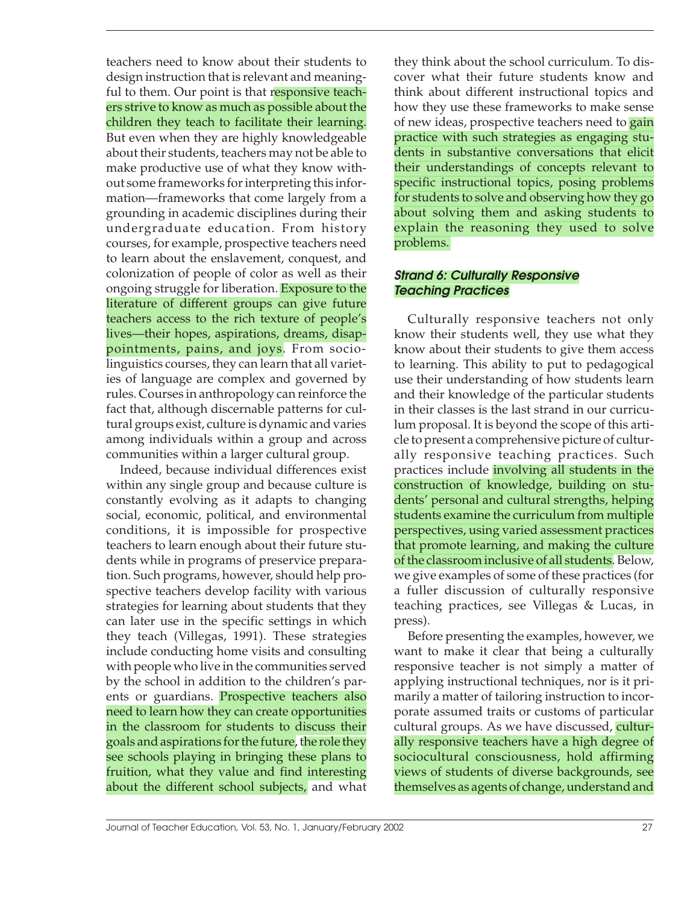teachers need to know about their students to design instruction that is relevant and meaningful to them. Our point is that responsive teachers strive to know as much as possible about the children they teach to facilitate their learning. But even when they are highly knowledgeable about their students, teachers may not be able to make productive use of what they know without some frameworks for interpreting this information—frameworks that come largely from a grounding in academic disciplines during their undergraduate education. From history courses, for example, prospective teachers need to learn about the enslavement, conquest, and colonization of people of color as well as their ongoing struggle for liberation. Exposure to the literature of different groups can give future teachers access to the rich texture of people's lives—their hopes, aspirations, dreams, disappointments, pains, and joys. From sociolinguistics courses, they can learn that all varieties of language are complex and governed by rules. Courses in anthropology can reinforce the fact that, although discernable patterns for cultural groups exist, culture is dynamic and varies among individuals within a group and across communities within a larger cultural group.

Indeed, because individual differences exist within any single group and because culture is constantly evolving as it adapts to changing social, economic, political, and environmental conditions, it is impossible for prospective teachers to learn enough about their future students while in programs of preservice preparation. Such programs, however, should help prospective teachers develop facility with various strategies for learning about students that they can later use in the specific settings in which they teach (Villegas, 1991). These strategies include conducting home visits and consulting with people who live in the communities served by the school in addition to the children's parents or guardians. Prospective teachers also need to learn how they can create opportunities in the classroom for students to discuss their goals and aspirations for the future, the role they see schools playing in bringing these plans to fruition, what they value and find interesting about the different school subjects, and what

they think about the school curriculum. To discover what their future students know and think about different instructional topics and how they use these frameworks to make sense of new ideas, prospective teachers need to gain practice with such strategies as engaging students in substantive conversations that elicit their understandings of concepts relevant to specific instructional topics, posing problems for students to solve and observing how they go about solving them and asking students to explain the reasoning they used to solve problems.

# Strand 6: Culturally Responsive Teaching Practices

Culturally responsive teachers not only know their students well, they use what they know about their students to give them access to learning. This ability to put to pedagogical use their understanding of how students learn and their knowledge of the particular students in their classes is the last strand in our curriculum proposal. It is beyond the scope of this article to present a comprehensive picture of culturally responsive teaching practices. Such practices include involving all students in the construction of knowledge, building on students' personal and cultural strengths, helping students examine the curriculum from multiple perspectives, using varied assessment practices that promote learning, and making the culture of the classroom inclusive of all students. Below, we give examples of some of these practices (for a fuller discussion of culturally responsive teaching practices, see Villegas & Lucas, in press).

Before presenting the examples, however, we want to make it clear that being a culturally responsive teacher is not simply a matter of applying instructional techniques, nor is it primarily a matter of tailoring instruction to incorporate assumed traits or customs of particular cultural groups. As we have discussed, culturally responsive teachers have a high degree of sociocultural consciousness, hold affirming views of students of diverse backgrounds, see themselves as agents of change, understand and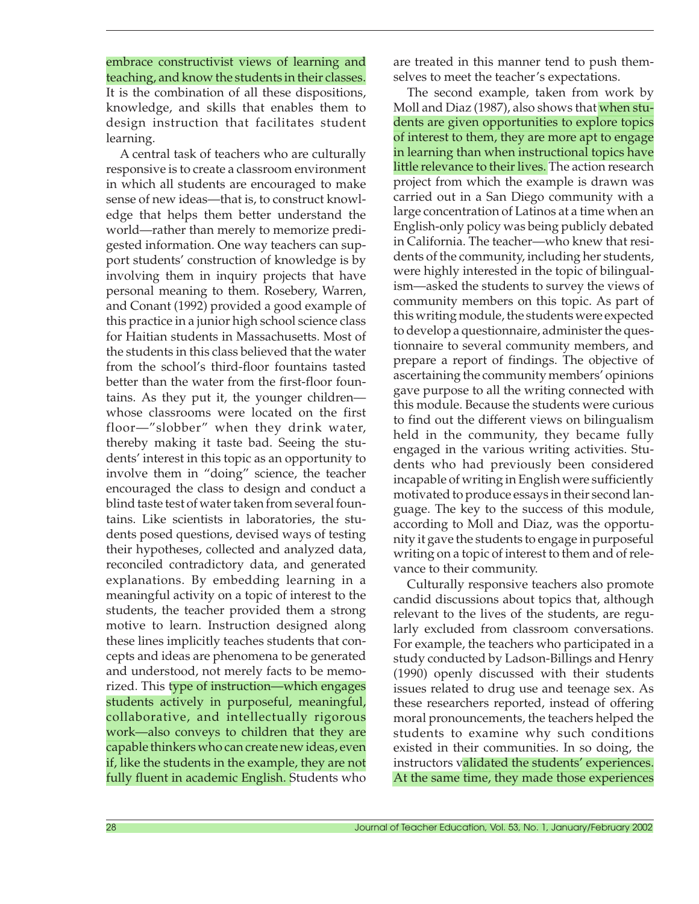embrace constructivist views of learning and teaching, and know the students in their classes. It is the combination of all these dispositions, knowledge, and skills that enables them to design instruction that facilitates student learning.

A central task of teachers who are culturally responsive is to create a classroom environment in which all students are encouraged to make sense of new ideas—that is, to construct knowledge that helps them better understand the world—rather than merely to memorize predigested information. One way teachers can support students' construction of knowledge is by involving them in inquiry projects that have personal meaning to them. Rosebery, Warren, and Conant (1992) provided a good example of this practice in a junior high school science class for Haitian students in Massachusetts. Most of the students in this class believed that the water from the school's third-floor fountains tasted better than the water from the first-floor fountains. As they put it, the younger children whose classrooms were located on the first floor—"slobber" when they drink water, thereby making it taste bad. Seeing the students' interest in this topic as an opportunity to involve them in "doing" science, the teacher encouraged the class to design and conduct a blind taste test of water taken from several fountains. Like scientists in laboratories, the students posed questions, devised ways of testing their hypotheses, collected and analyzed data, reconciled contradictory data, and generated explanations. By embedding learning in a meaningful activity on a topic of interest to the students, the teacher provided them a strong motive to learn. Instruction designed along these lines implicitly teaches students that concepts and ideas are phenomena to be generated and understood, not merely facts to be memorized. This type of instruction—which engages students actively in purposeful, meaningful, collaborative, and intellectually rigorous work—also conveys to children that they are capable thinkers who can create new ideas, even if, like the students in the example, they are not fully fluent in academic English. Students who

are treated in this manner tend to push themselves to meet the teacher's expectations.

The second example, taken from work by Moll and Diaz (1987), also shows that when students are given opportunities to explore topics of interest to them, they are more apt to engage in learning than when instructional topics have little relevance to their lives. The action research project from which the example is drawn was carried out in a San Diego community with a large concentration of Latinos at a time when an English-only policy was being publicly debated in California. The teacher—who knew that residents of the community, including her students, were highly interested in the topic of bilingualism—asked the students to survey the views of community members on this topic. As part of this writing module, the students were expected to develop a questionnaire, administer the questionnaire to several community members, and prepare a report of findings. The objective of ascertaining the community members' opinions gave purpose to all the writing connected with this module. Because the students were curious to find out the different views on bilingualism held in the community, they became fully engaged in the various writing activities. Students who had previously been considered incapable of writing in English were sufficiently motivated to produce essays in their second language. The key to the success of this module, according to Moll and Diaz, was the opportunity it gave the students to engage in purposeful writing on a topic of interest to them and of relevance to their community.

Culturally responsive teachers also promote candid discussions about topics that, although relevant to the lives of the students, are regularly excluded from classroom conversations. For example, the teachers who participated in a study conducted by Ladson-Billings and Henry (1990) openly discussed with their students issues related to drug use and teenage sex. As these researchers reported, instead of offering moral pronouncements, the teachers helped the students to examine why such conditions existed in their communities. In so doing, the instructors validated the students' experiences. At the same time, they made those experiences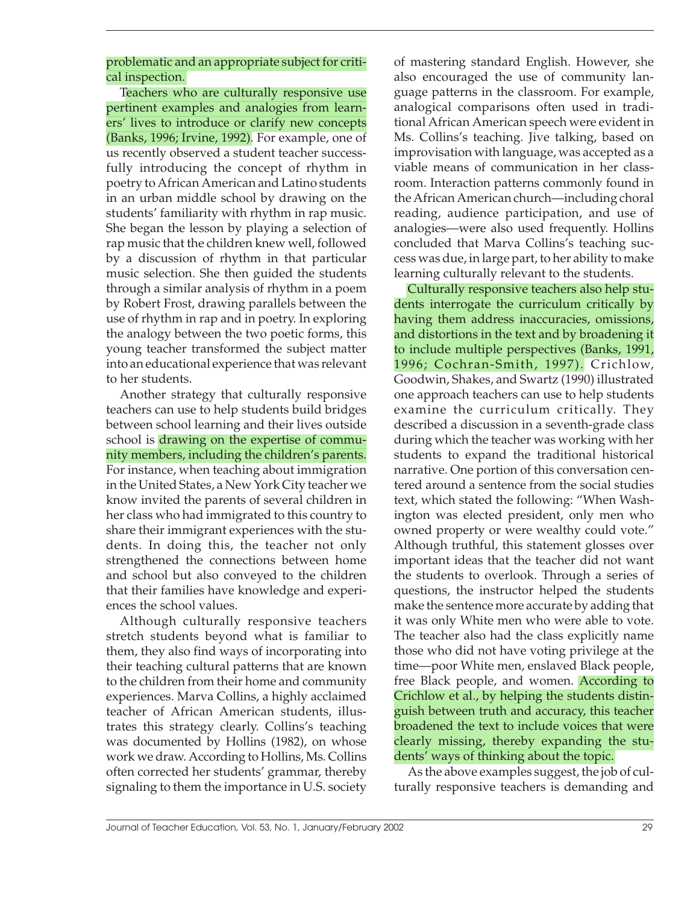# problematic and an appropriate subject for critical inspection.

Teachers who are culturally responsive use pertinent examples and analogies from learners' lives to introduce or clarify new concepts (Banks, 1996; Irvine, 1992). For example, one of us recently observed a student teacher successfully introducing the concept of rhythm in poetry to African American and Latino students in an urban middle school by drawing on the students' familiarity with rhythm in rap music. She began the lesson by playing a selection of rap music that the children knew well, followed by a discussion of rhythm in that particular music selection. She then guided the students through a similar analysis of rhythm in a poem by Robert Frost, drawing parallels between the use of rhythm in rap and in poetry. In exploring the analogy between the two poetic forms, this young teacher transformed the subject matter into an educational experience that was relevant to her students.

Another strategy that culturally responsive teachers can use to help students build bridges between school learning and their lives outside school is drawing on the expertise of community members, including the children's parents. For instance, when teaching about immigration in the United States, a New York City teacher we know invited the parents of several children in her class who had immigrated to this country to share their immigrant experiences with the students. In doing this, the teacher not only strengthened the connections between home and school but also conveyed to the children that their families have knowledge and experiences the school values.

Although culturally responsive teachers stretch students beyond what is familiar to them, they also find ways of incorporating into their teaching cultural patterns that are known to the children from their home and community experiences. Marva Collins, a highly acclaimed teacher of African American students, illustrates this strategy clearly. Collins's teaching was documented by Hollins (1982), on whose work we draw. According to Hollins, Ms. Collins often corrected her students' grammar, thereby signaling to them the importance in U.S. society of mastering standard English. However, she also encouraged the use of community language patterns in the classroom. For example, analogical comparisons often used in traditional African American speech were evident in Ms. Collins's teaching. Jive talking, based on improvisation with language, was accepted as a viable means of communication in her classroom. Interaction patterns commonly found in the African American church—including choral reading, audience participation, and use of analogies—were also used frequently. Hollins concluded that Marva Collins's teaching success was due, in large part, to her ability to make learning culturally relevant to the students.

Culturally responsive teachers also help students interrogate the curriculum critically by having them address inaccuracies, omissions, and distortions in the text and by broadening it to include multiple perspectives (Banks, 1991, 1996; Cochran-Smith, 1997). Crichlow, Goodwin, Shakes, and Swartz (1990) illustrated one approach teachers can use to help students examine the curriculum critically. They described a discussion in a seventh-grade class during which the teacher was working with her students to expand the traditional historical narrative. One portion of this conversation centered around a sentence from the social studies text, which stated the following: "When Washington was elected president, only men who owned property or were wealthy could vote." Although truthful, this statement glosses over important ideas that the teacher did not want the students to overlook. Through a series of questions, the instructor helped the students make the sentence more accurate by adding that it was only White men who were able to vote. The teacher also had the class explicitly name those who did not have voting privilege at the time—poor White men, enslaved Black people, free Black people, and women. According to Crichlow et al., by helping the students distinguish between truth and accuracy, this teacher broadened the text to include voices that were clearly missing, thereby expanding the students' ways of thinking about the topic.

As the above examples suggest, the job of culturally responsive teachers is demanding and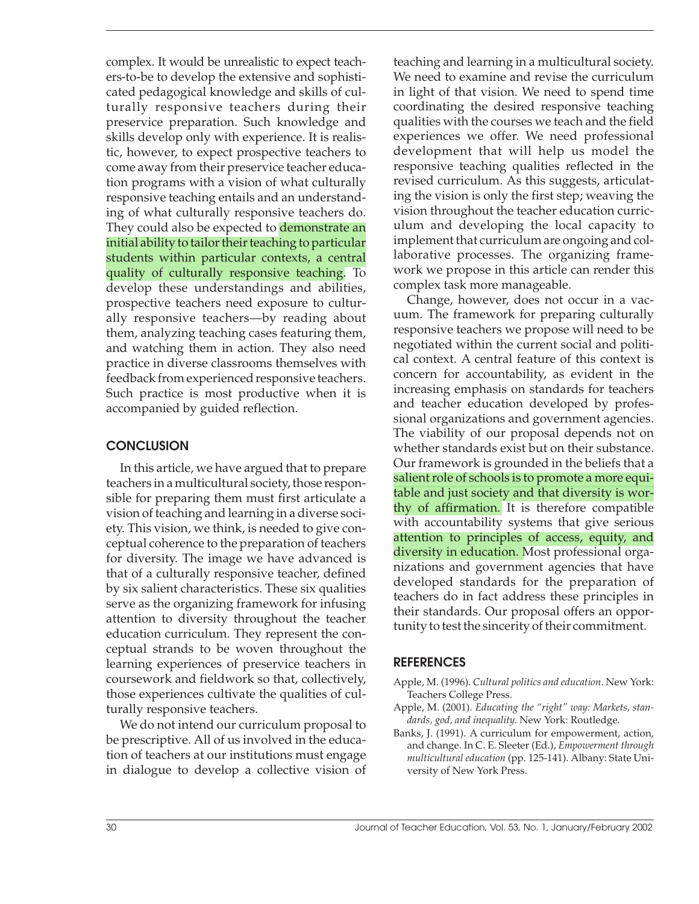complex. It would be unrealistic to expect teachers-to-be to develop the extensive and sophisticated pedagogical knowledge and skills of culturally responsive teachers during their preservice preparation. Such knowledge and skills develop only with experience. It is realistic, however, to expect prospective teachers to come away from their preservice teacher education programs with a vision of what culturally responsive teaching entails and an understanding of what culturally responsive teachers do. They could also be expected to demonstrate an initial ability to tailor their teaching to particular students within particular contexts, a central quality of culturally responsive teaching. To develop these understandings and abilities, prospective teachers need exposure to culturally responsive teachers—by reading about them, analyzing teaching cases featuring them, and watching them in action. They also need practice in diverse classrooms themselves with feedback from experienced responsive teachers. Such practice is most productive when it is accompanied by guided reflection.

#### **CONCLUSION**

In this article, we have argued that to prepare teachers in a multicultural society, those responsible for preparing them must first articulate a vision of teaching and learning in a diverse society. This vision, we think, is needed to give conceptual coherence to the preparation of teachers for diversity. The image we have advanced is that of a culturally responsive teacher, defined by six salient characteristics. These six qualities serve as the organizing framework for infusing attention to diversity throughout the teacher education curriculum. They represent the conceptual strands to be woven throughout the learning experiences of preservice teachers in coursework and fieldwork so that, collectively, those experiences cultivate the qualities of culturally responsive teachers.

We do not intend our curriculum proposal to be prescriptive. All of us involved in the education of teachers at our institutions must engage in dialogue to develop a collective vision of

teaching and learning in a multicultural society. We need to examine and revise the curriculum in light of that vision. We need to spend time coordinating the desired responsive teaching qualities with the courses we teach and the field experiences we offer. We need professional development that will help us model the responsive teaching qualities reflected in the revised curriculum. As this suggests, articulating the vision is only the first step; weaving the vision throughout the teacher education curriculum and developing the local capacity to implement that curriculum are ongoing and collaborative processes. The organizing framework we propose in this article can render this complex task more manageable.

Change, however, does not occur in a vacuum. The framework for preparing culturally responsive teachers we propose will need to be negotiated within the current social and political context. A central feature of this context is concern for accountability, as evident in the increasing emphasis on standards for teachers and teacher education developed by professional organizations and government agencies. The viability of our proposal depends not on whether standards exist but on their substance. Our framework is grounded in the beliefs that a salient role of schools is to promote a more equitable and just society and that diversity is worthy of affirmation. It is therefore compatible with accountability systems that give serious attention to principles of access, equity, and diversity in education. Most professional organizations and government agencies that have developed standards for the preparation of teachers do in fact address these principles in their standards. Our proposal offers an opportunity to test the sincerity of their commitment.

#### **REFERENCES**

Apple, M. (1996). *Cultural politics and education*. New York: Teachers College Press.

- Apple, M. (2001). *Educating the "right" way: Markets, standards, god, and inequality*. New York: Routledge.
- Banks, J. (1991). A curriculum for empowerment, action, and change. In C. E. Sleeter (Ed.), *Empowerment through multicultural education* (pp. 125-141). Albany: State University of New York Press.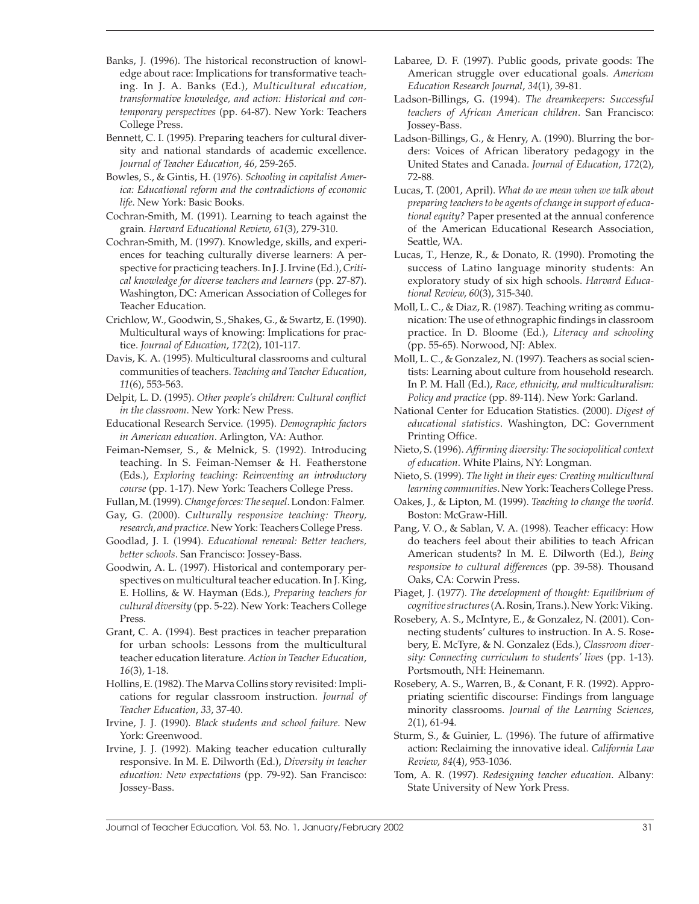- Banks, J. (1996). The historical reconstruction of knowledge about race: Implications for transformative teaching. In J. A. Banks (Ed.), *Multicultural education, transformative knowledge, and action: Historical and contemporary perspectives* (pp. 64-87). New York: Teachers College Press.
- Bennett, C. I. (1995). Preparing teachers for cultural diversity and national standards of academic excellence. *Journal of Teacher Education*, *46*, 259-265.
- Bowles, S., & Gintis, H. (1976). *Schooling in capitalist America: Educational reform and the contradictions of economic life*. New York: Basic Books.
- Cochran-Smith, M. (1991). Learning to teach against the grain. *Harvard Educational Review*, *61*(3), 279-310.
- Cochran-Smith, M. (1997). Knowledge, skills, and experiences for teaching culturally diverse learners: A perspective for practicing teachers. In J. J. Irvine (Ed.),*Critical knowledge for diverse teachers and learners* (pp. 27-87). Washington, DC: American Association of Colleges for Teacher Education.
- Crichlow, W., Goodwin, S., Shakes, G., & Swartz, E. (1990). Multicultural ways of knowing: Implications for practice. *Journal of Education*, *172*(2), 101-117.
- Davis, K. A. (1995). Multicultural classrooms and cultural communities of teachers. *Teaching and Teacher Education*, *11*(6), 553-563.
- Delpit, L. D. (1995). *Other people's children: Cultural conflict in the classroom*. New York: New Press.
- Educational Research Service. (1995). *Demographic factors in American education*. Arlington, VA: Author.
- Feiman-Nemser, S., & Melnick, S. (1992). Introducing teaching. In S. Feiman-Nemser & H. Featherstone (Eds.), *Exploring teaching: Reinventing an introductory course* (pp. 1-17). New York: Teachers College Press.
- Fullan, M. (1999).*Change forces: The sequel*. London: Falmer.
- Gay, G. (2000). *Culturally responsive teaching: Theory, research, and practice*. New York: Teachers College Press.
- Goodlad, J. I. (1994). *Educational renewal: Better teachers, better schools*. San Francisco: Jossey-Bass.
- Goodwin, A. L. (1997). Historical and contemporary perspectives on multicultural teacher education. In J. King, E. Hollins, & W. Hayman (Eds.), *Preparing teachers for cultural diversity* (pp. 5-22). New York: Teachers College Press.
- Grant, C. A. (1994). Best practices in teacher preparation for urban schools: Lessons from the multicultural teacher education literature. *Action in Teacher Education*, *16*(3), 1-18.
- Hollins, E. (1982). The Marva Collins story revisited: Implications for regular classroom instruction. *Journal of Teacher Education*, *33*, 37-40.
- Irvine, J. J. (1990). *Black students and school failure*. New York: Greenwood.
- Irvine, J. J. (1992). Making teacher education culturally responsive. In M. E. Dilworth (Ed.), *Diversity in teacher education: New expectations* (pp. 79-92). San Francisco: Jossey-Bass.
- Labaree, D. F. (1997). Public goods, private goods: The American struggle over educational goals. *American Education Research Journal*, *34*(1), 39-81.
- Ladson-Billings, G. (1994). *The dreamkeepers: Successful teachers of African American children*. San Francisco: Jossey-Bass.
- Ladson-Billings, G., & Henry, A. (1990). Blurring the borders: Voices of African liberatory pedagogy in the United States and Canada. *Journal of Education*, *172*(2), 72-88.
- Lucas, T. (2001, April). *What do we mean when we talk about preparing teachers to be agents of change in support of educational equity?* Paper presented at the annual conference of the American Educational Research Association, Seattle, WA.
- Lucas, T., Henze, R., & Donato, R. (1990). Promoting the success of Latino language minority students: An exploratory study of six high schools. *Harvard Educational Review*, *60*(3), 315-340.
- Moll, L. C., & Diaz, R. (1987). Teaching writing as communication: The use of ethnographic findings in classroom practice. In D. Bloome (Ed.), *Literacy and schooling* (pp. 55-65). Norwood, NJ: Ablex.
- Moll, L. C., & Gonzalez, N. (1997). Teachers as social scientists: Learning about culture from household research. In P. M. Hall (Ed.), *Race, ethnicity, and multiculturalism: Policy and practice* (pp. 89-114). New York: Garland.
- National Center for Education Statistics. (2000). *Digest of educational statistics*. Washington, DC: Government Printing Office.
- Nieto, S. (1996). *Affirming diversity: The sociopolitical context of education*. White Plains, NY: Longman.
- Nieto, S. (1999). *The light in their eyes: Creating multicultural learning communities*. New York: Teachers College Press.
- Oakes, J., & Lipton, M. (1999). *Teaching to change the world*. Boston: McGraw-Hill.
- Pang, V. O., & Sablan, V. A. (1998). Teacher efficacy: How do teachers feel about their abilities to teach African American students? In M. E. Dilworth (Ed.), *Being responsive to cultural differences* (pp. 39-58). Thousand Oaks, CA: Corwin Press.
- Piaget, J. (1977). *The development of thought: Equilibrium of cognitive structures*(A. Rosin, Trans.). New York: Viking.
- Rosebery, A. S., McIntyre, E., & Gonzalez, N. (2001). Connecting students' cultures to instruction. In A. S. Rosebery, E. McTyre, & N. Gonzalez (Eds.), *Classroom diversity: Connecting curriculum to students' lives* (pp. 1-13). Portsmouth, NH: Heinemann.
- Rosebery, A. S., Warren, B., & Conant, F. R. (1992). Appropriating scientific discourse: Findings from language minority classrooms. *Journal of the Learning Sciences*, *2*(1), 61-94.
- Sturm, S., & Guinier, L. (1996). The future of affirmative action: Reclaiming the innovative ideal. *California Law Review*, *84*(4), 953-1036.
- Tom, A. R. (1997). *Redesigning teacher education*. Albany: State University of New York Press.